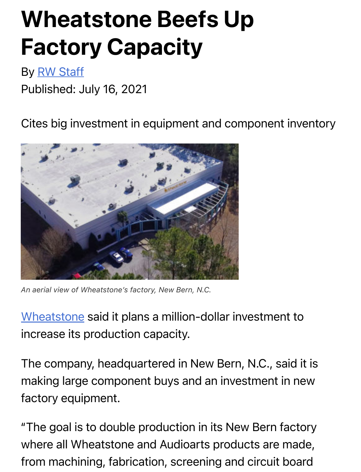## Wheatstone Beefs Up F[actor](https://www.radioworld.com/author/rwstaff)y Capacity

By RW Staff

Published: July 16, 2021

Cites big investment in equipment and component inventory



*[An aerial view of W](https://www.wheatstone.com/)heatstone's factory, New Bern, N.C.*

Wheatstone said it plans a million-dollar investment to increase its production capacity.

The company, headquartered in New Bern, N.C., said it is making large component buys and an investment in new factory equipment.

"The goal is to double production in its New Bern factory where all Wheatstone and Audioarts products are made, from machining, fabrication, screening and circuit board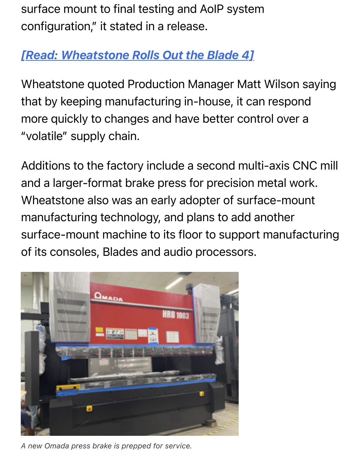surface mount to final testing and AoIP system [configuration," it stated in a release.](https://www.radioworld.com/tech-and-gear/products/wheatstone-rolls-out-the-blade-4)

## *[Read: Wheatstone Rolls Out the Blade 4]*

Wheatstone quoted Production Manager Matt Wilson saying that by keeping manufacturing in-house, it can respond more quickly to changes and have better control over a "volatile" supply chain.

Additions to the factory include a second multi-axis CNC mill and a larger-format brake press for precision metal work. Wheatstone also was an early adopter of surface-mount manufacturing technology, and plans to add another surface-mount machine to its floor to support manufacturing of its consoles, Blades and audio processors.



*A new Omada press brake is prepped for service.*